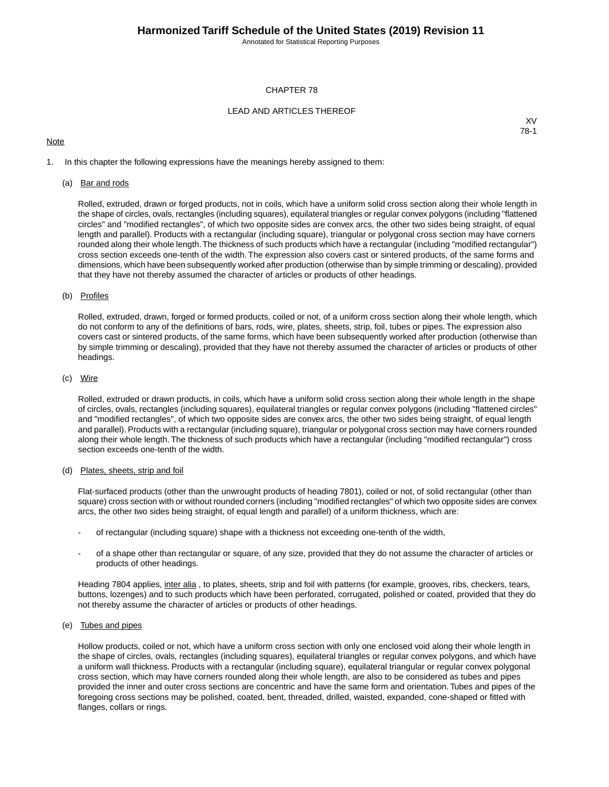Annotated for Statistical Reporting Purposes

#### CHAPTER 78

#### LEAD AND ARTICLES THEREOF

#### **Note**

XV 78-1

1. In this chapter the following expressions have the meanings hereby assigned to them:

#### (a) Bar and rods

Rolled, extruded, drawn or forged products, not in coils, which have a uniform solid cross section along their whole length in the shape of circles, ovals, rectangles (including squares), equilateral triangles or regular convex polygons (including "flattened circles" and "modified rectangles", of which two opposite sides are convex arcs, the other two sides being straight, of equal length and parallel). Products with a rectangular (including square), triangular or polygonal cross section may have corners rounded along their whole length.The thickness of such products which have a rectangular (including "modified rectangular") cross section exceeds one-tenth of the width. The expression also covers cast or sintered products, of the same forms and dimensions, which have been subsequently worked after production (otherwise than by simple trimming or descaling), provided that they have not thereby assumed the character of articles or products of other headings.

#### (b) Profiles

Rolled, extruded, drawn, forged or formed products, coiled or not, of a uniform cross section along their whole length, which do not conform to any of the definitions of bars, rods, wire, plates, sheets, strip, foil, tubes or pipes. The expression also covers cast or sintered products, of the same forms, which have been subsequently worked after production (otherwise than by simple trimming or descaling), provided that they have not thereby assumed the character of articles or products of other headings.

#### (c) Wire

Rolled, extruded or drawn products, in coils, which have a uniform solid cross section along their whole length in the shape of circles, ovals, rectangles (including squares), equilateral triangles or regular convex polygons (including "flattened circles" and "modified rectangles", of which two opposite sides are convex arcs, the other two sides being straight, of equal length and parallel). Products with a rectangular (including square), triangular or polygonal cross section may have corners rounded along their whole length. The thickness of such products which have a rectangular (including "modified rectangular") cross section exceeds one-tenth of the width.

#### (d) Plates, sheets, strip and foil

Flat-surfaced products (other than the unwrought products of heading 7801), coiled or not, of solid rectangular (other than square) cross section with or without rounded corners (including "modified rectangles" of which two opposite sides are convex arcs, the other two sides being straight, of equal length and parallel) of a uniform thickness, which are:

- of rectangular (including square) shape with a thickness not exceeding one-tenth of the width,
- of a shape other than rectangular or square, of any size, provided that they do not assume the character of articles or products of other headings.

Heading 7804 applies, inter alia, to plates, sheets, strip and foil with patterns (for example, grooves, ribs, checkers, tears, buttons, lozenges) and to such products which have been perforated, corrugated, polished or coated, provided that they do not thereby assume the character of articles or products of other headings.

#### (e) Tubes and pipes

Hollow products, coiled or not, which have a uniform cross section with only one enclosed void along their whole length in the shape of circles, ovals, rectangles (including squares), equilateral triangles or regular convex polygons, and which have a uniform wall thickness. Products with a rectangular (including square), equilateral triangular or regular convex polygonal cross section, which may have corners rounded along their whole length, are also to be considered as tubes and pipes provided the inner and outer cross sections are concentric and have the same form and orientation. Tubes and pipes of the foregoing cross sections may be polished, coated, bent, threaded, drilled, waisted, expanded, cone-shaped or fitted with flanges, collars or rings.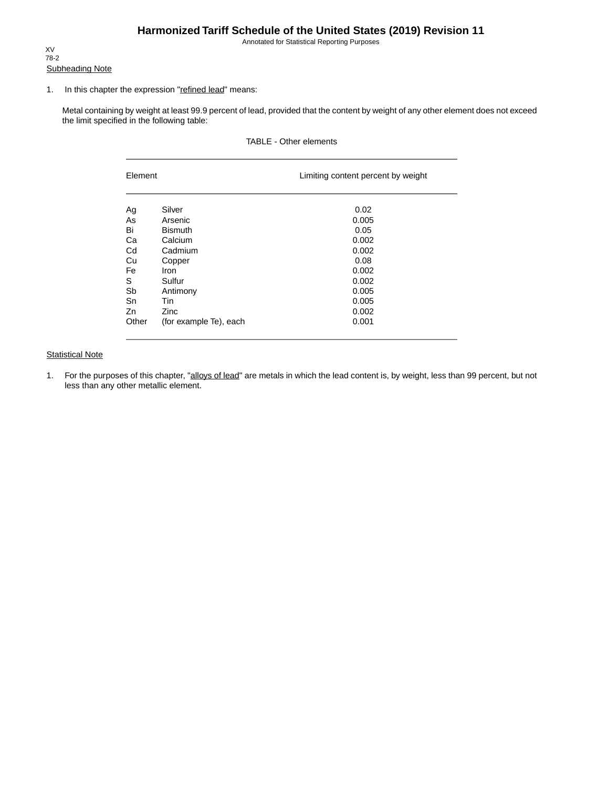## **Harmonized Tariff Schedule of the United States (2019) Revision 11**

Annotated for Statistical Reporting Purposes

Subheading Note XV 78-2

#### 1. In this chapter the expression "refined lead" means:

Metal containing by weight at least 99.9 percent of lead, provided that the content by weight of any other element does not exceed the limit specified in the following table:

### TABLE - Other elements

| Element |                        | Limiting content percent by weight |  |  |  |
|---------|------------------------|------------------------------------|--|--|--|
| Ag      | Silver                 | 0.02                               |  |  |  |
| As      | Arsenic                | 0.005                              |  |  |  |
| Bi      | <b>Bismuth</b>         | 0.05                               |  |  |  |
| Ca      | Calcium                | 0.002                              |  |  |  |
| Cd      | Cadmium                | 0.002                              |  |  |  |
| Cu      | Copper                 | 0.08                               |  |  |  |
| Fe      | <b>Iron</b>            | 0.002                              |  |  |  |
| S       | Sulfur                 | 0.002                              |  |  |  |
| Sb      | Antimony               | 0.005                              |  |  |  |
| Sn      | Tin                    | 0.005                              |  |  |  |
| Zn      | Zinc                   | 0.002                              |  |  |  |
| Other   | (for example Te), each | 0.001                              |  |  |  |

### **Statistical Note**

1. For the purposes of this chapter, "alloys of lead" are metals in which the lead content is, by weight, less than 99 percent, but not less than any other metallic element.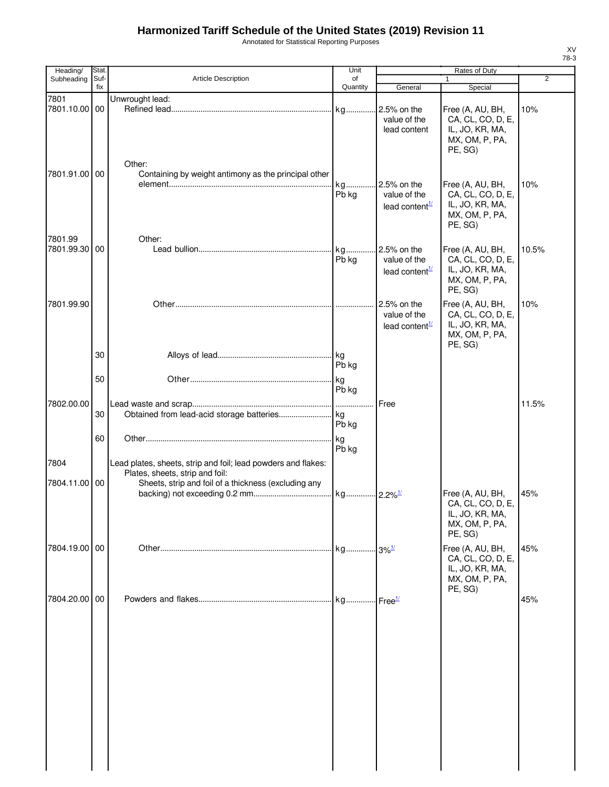# **Harmonized Tariff Schedule of the United States (2019) Revision 11**

Annotated for Statistical Reporting Purposes

| Heading/      | <b>Stat</b> |                                                                                                  | Unit           |                                                                        | <b>Rates of Duty</b>                                                                  |                |
|---------------|-------------|--------------------------------------------------------------------------------------------------|----------------|------------------------------------------------------------------------|---------------------------------------------------------------------------------------|----------------|
| Subheading    | Suf-<br>fix | Article Description                                                                              | of<br>Quantity | General                                                                | Special                                                                               | $\overline{2}$ |
| 7801          |             | Unwrought lead:                                                                                  |                |                                                                        |                                                                                       |                |
| 7801.10.00    | 00          | Other:                                                                                           | kg             | 2.5% on the<br>value of the<br>lead content                            | Free (A, AU, BH,<br>CA, CL, CO, D, E,<br>IL, JO, KR, MA,<br>MX, OM, P, PA,<br>PE, SG) | 10%            |
| 7801.91.00 00 |             | Containing by weight antimony as the principal other                                             | kg<br>Pb kg    | 2.5% on the<br>value of the<br>lead content $\frac{1}{2}$              | Free (A, AU, BH,<br>CA, CL, CO, D, E,<br>IL, JO, KR, MA,<br>MX, OM, P, PA,<br>PE, SG) | 10%            |
| 7801.99       |             | Other:                                                                                           |                |                                                                        |                                                                                       |                |
| 7801.99.30    | 00          |                                                                                                  | kg<br>Pb kg    | 2.5% on the<br>value of the<br>lead content <sup><math>1/</math></sup> | Free (A, AU, BH,<br>CA, CL, CO, D, E,<br>IL, JO, KR, MA,<br>MX, OM, P, PA,<br>PE, SG) | 10.5%          |
| 7801.99.90    |             |                                                                                                  |                | 2.5% on the<br>value of the<br>lead content $\frac{1}{2}$              | Free (A, AU, BH,<br>CA, CL, CO, D, E,<br>IL, JO, KR, MA,<br>MX, OM, P, PA,<br>PE, SG) | 10%            |
|               | 30          |                                                                                                  | Pb kg          |                                                                        |                                                                                       |                |
|               | 50          |                                                                                                  | kg<br>Pb kg    |                                                                        |                                                                                       |                |
|               |             |                                                                                                  |                |                                                                        |                                                                                       |                |
| 7802.00.00    | 30          |                                                                                                  | Pb kg          | Free                                                                   |                                                                                       | 11.5%          |
|               | 60          |                                                                                                  | kg<br>Pb kg    |                                                                        |                                                                                       |                |
| 7804          |             | Lead plates, sheets, strip and foil; lead powders and flakes:<br>Plates, sheets, strip and foil: |                |                                                                        |                                                                                       |                |
| 7804.11.00 00 |             | Sheets, strip and foil of a thickness (excluding any                                             |                |                                                                        | Free (A, AU, BH,<br>CA, CL, CO, D, E,<br>IL, JO, KR, MA,<br>MX, OM, P, PA,<br>PE, SG) | 45%            |
| 7804.19.00 00 |             |                                                                                                  |                |                                                                        | Free (A, AU, BH,<br>CA, CL, CO, D, E,<br>IL, JO, KR, MA,<br>MX, OM, P, PA,            | 45%            |
| 7804.20.00 00 |             |                                                                                                  |                |                                                                        | PE, SG)                                                                               | 45%            |
|               |             |                                                                                                  |                |                                                                        |                                                                                       |                |

XV 78-3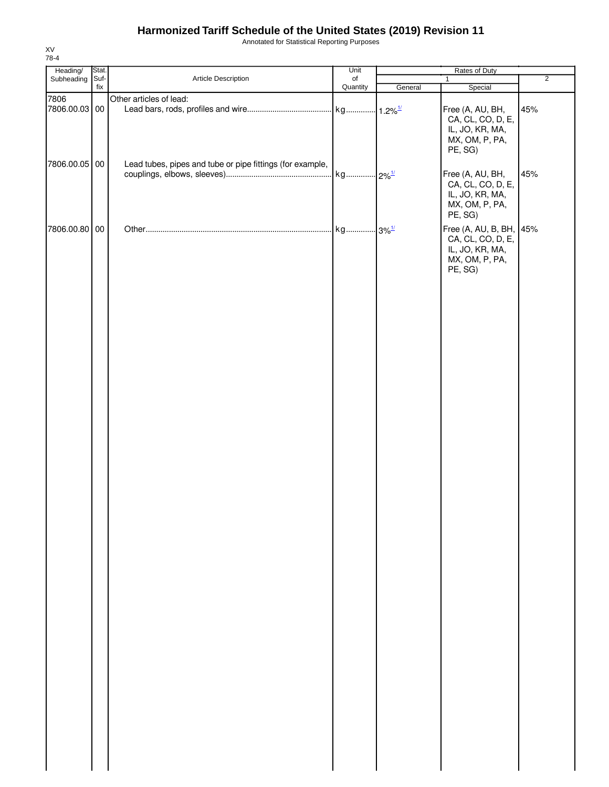## **Harmonized Tariff Schedule of the United States (2019) Revision 11**

Annotated for Statistical Reporting Purposes

| Heading/        | Stat. |                                                           | Unit                  | Rates of Duty |                                                                                              |                |
|-----------------|-------|-----------------------------------------------------------|-----------------------|---------------|----------------------------------------------------------------------------------------------|----------------|
| Subheading Suf- | fix   | Article Description                                       | $\circ$ f<br>Quantity | General       | $\mathbf{1}$<br>Special                                                                      | $\overline{2}$ |
| 7806            |       | Other articles of lead:                                   |                       |               |                                                                                              |                |
| 7806.00.03 00   |       |                                                           |                       |               | Free (A, AU, BH,<br>CA, CL, CO, D, E,<br>IL, JO, KR, MA,<br>MX, OM, P, PA,<br>PE, SG)        | 45%            |
| 7806.00.05 00   |       | Lead tubes, pipes and tube or pipe fittings (for example, |                       |               | Free (A, AU, BH,<br>CA, CL, CO, D, E,<br>IL, JO, KR, MA,<br>MX, OM, P, PA,<br>PE, SG)        | 45%            |
| 7806.00.80 00   |       |                                                           |                       |               | Free (A, AU, B, BH, 45%<br>CA, CL, CO, D, E,<br>IL, JO, KR, MA,<br>MX, OM, P, PA,<br>PE, SG) |                |
|                 |       |                                                           |                       |               |                                                                                              |                |

XV 78-4